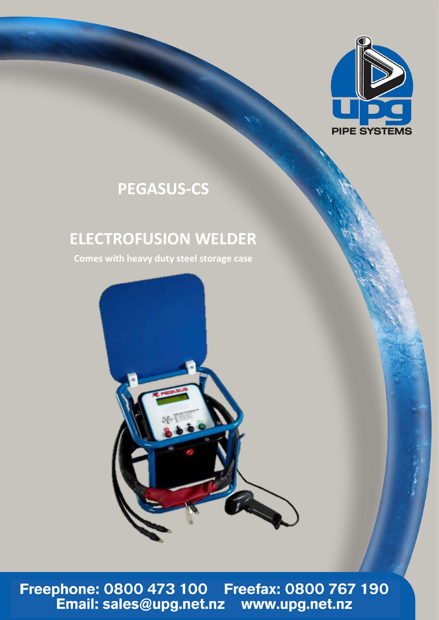

# **PEGASUS-CS**

## **ELECTROFUSION WELDER**

**Comes with heavy duty steel storage case**



Freephone: 0800 473 100 Freefax: 0800 767 190<br>Email: sales@upg.net.nz www.upg.net.nz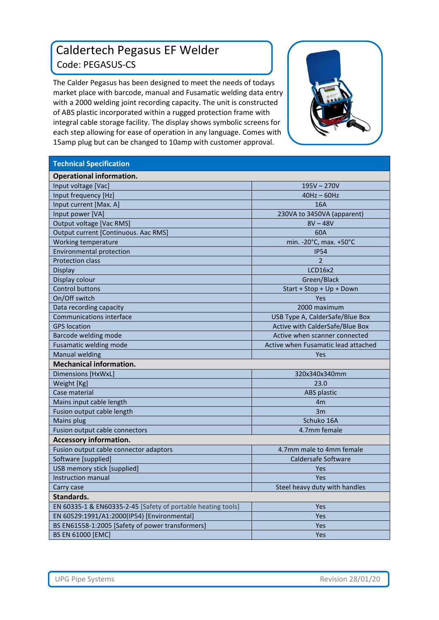### Caldertech Pegasus EF Welder Code: PEGASUS-CS

The Calder Pegasus has been designed to meet the needs of todays market place with barcode, manual and Fusamatic welding data entry with a 2000 welding joint recording capacity. The unit is constructed of ABS plastic incorporated within a rugged protection frame with integral cable storage facility. The display shows symbolic screens for each step allowing for ease of operation in any language. Comes with 15amp plug but can be changed to 10amp with customer approval.



| <b>Technical Specification</b>                               |                                     |
|--------------------------------------------------------------|-------------------------------------|
| <b>Operational information.</b>                              |                                     |
| Input voltage [Vac]                                          | $195V - 270V$                       |
| Input frequency [Hz]                                         | $40Hz - 60Hz$                       |
| Input current [Max. A]                                       | 16A                                 |
| Input power [VA]                                             | 230VA to 3450VA (apparent)          |
| Output voltage [Vac RMS]                                     | $8V - 48V$                          |
| Output current [Continuous. Aac RMS]                         | 60A                                 |
| Working temperature                                          | min. - 20°C, max. +50°C             |
| <b>Environmental protection</b>                              | <b>IP54</b>                         |
| <b>Protection class</b>                                      | $\mathfrak{p}$                      |
| <b>Display</b>                                               | <b>LCD16x2</b>                      |
| Display colour                                               | Green/Black                         |
| <b>Control buttons</b>                                       | Start + Stop + Up + Down            |
| On/Off switch                                                | Yes                                 |
| Data recording capacity                                      | 2000 maximum                        |
| <b>Communications interface</b>                              | USB Type A, CalderSafe/Blue Box     |
| <b>GPS</b> location                                          | Active with CalderSafe/Blue Box     |
| Barcode welding mode                                         | Active when scanner connected       |
| Fusamatic welding mode                                       | Active when Fusamatic lead attached |
| <b>Manual welding</b>                                        | <b>Yes</b>                          |
| <b>Mechanical information.</b>                               |                                     |
| Dimensions [HxWxL]                                           | 320x340x340mm                       |
| Weight [Kg]                                                  | 23.0                                |
| Case material                                                | <b>ABS</b> plastic                  |
| Mains input cable length                                     | 4m                                  |
| Fusion output cable length                                   | 3m                                  |
| Mains plug                                                   | Schuko 16A                          |
| Fusion output cable connectors                               | 4.7mm female                        |
| <b>Accessory information.</b>                                |                                     |
| Fusion output cable connector adaptors                       | 4.7mm male to 4mm female            |
| Software [supplied]                                          | Caldersafe Software                 |
| USB memory stick [supplied]                                  | Yes                                 |
| <b>Instruction manual</b>                                    | Yes                                 |
| Carry case                                                   | Steel heavy duty with handles       |
| Standards.                                                   |                                     |
| EN 60335-1 & EN60335-2-45 [Safety of portable heating tools] | Yes                                 |
| EN 60529:1991/A1:2000(IP54) [Environmental]                  | Yes                                 |
| BS EN61558-1:2005 [Safety of power transformers]             | Yes                                 |
| <b>BS EN 61000 [EMC]</b>                                     | Yes                                 |